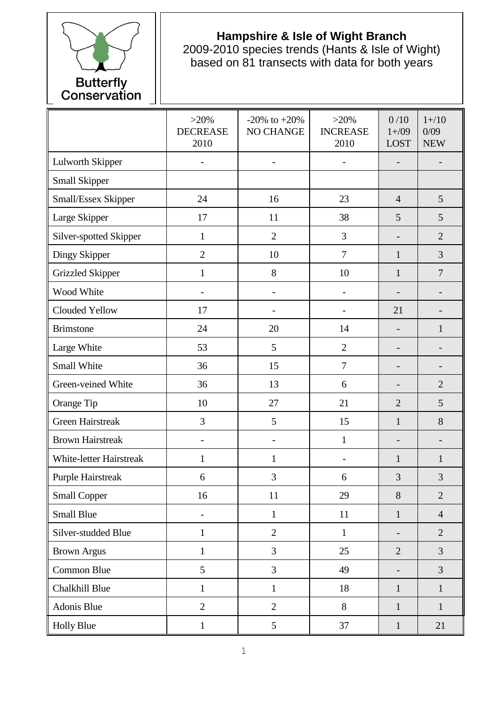

## **Hampshire & Isle of Wight Branch**

2009-2010 species trends (Hants & Isle of Wight) based on 81 transects with data for both years

|                                | $>20\%$<br><b>DECREASE</b><br>2010 | $-20\%$ to $+20\%$<br>NO CHANGE | $>20\%$<br><b>INCREASE</b><br>2010 | 0/10<br>$1 + / 09$<br><b>LOST</b> | $1 + / 10$<br>0/09<br><b>NEW</b> |
|--------------------------------|------------------------------------|---------------------------------|------------------------------------|-----------------------------------|----------------------------------|
| Lulworth Skipper               |                                    | $\overline{\phantom{a}}$        |                                    |                                   |                                  |
| Small Skipper                  |                                    |                                 |                                    |                                   |                                  |
| Small/Essex Skipper            | 24                                 | 16                              | 23                                 | $\overline{4}$                    | 5                                |
| Large Skipper                  | 17                                 | 11                              | 38                                 | 5                                 | 5                                |
| Silver-spotted Skipper         | $\mathbf{1}$                       | $\overline{2}$                  | 3                                  |                                   | $\overline{2}$                   |
| Dingy Skipper                  | $\overline{2}$                     | 10                              | 7                                  | $\mathbf{1}$                      | 3                                |
| <b>Grizzled Skipper</b>        | $\mathbf{1}$                       | 8                               | 10                                 | $\mathbf{1}$                      | $\overline{7}$                   |
| Wood White                     |                                    | $\overline{\phantom{0}}$        |                                    |                                   |                                  |
| Clouded Yellow                 | 17                                 | $\overline{\phantom{0}}$        | $\overline{a}$                     | 21                                | $\overline{a}$                   |
| <b>Brimstone</b>               | 24                                 | 20                              | 14                                 | $\overline{\phantom{0}}$          | $\mathbf{1}$                     |
| Large White                    | 53                                 | 5                               | $\overline{2}$                     | $\overline{\phantom{0}}$          | -                                |
| Small White                    | 36                                 | 15                              | $\overline{7}$                     | $\overline{\phantom{0}}$          |                                  |
| Green-veined White             | 36                                 | 13                              | 6                                  |                                   | $\overline{2}$                   |
| Orange Tip                     | 10                                 | 27                              | 21                                 | $\overline{2}$                    | 5                                |
| <b>Green Hairstreak</b>        | 3                                  | 5                               | 15                                 | $\mathbf{1}$                      | 8                                |
| <b>Brown Hairstreak</b>        |                                    | $\qquad \qquad -$               | $\mathbf{1}$                       | $\overline{\phantom{0}}$          | $\overline{\phantom{0}}$         |
| <b>White-letter Hairstreak</b> | $\mathbf{1}$                       | $\mathbf{1}$                    |                                    | $\mathbf{1}$                      | $\mathbf{1}$                     |
| <b>Purple Hairstreak</b>       | 6                                  | 3                               | 6                                  | 3                                 | 3                                |
| <b>Small Copper</b>            | 16                                 | 11                              | 29                                 | 8                                 | $\overline{2}$                   |
| <b>Small Blue</b>              | $\overline{\phantom{a}}$           | $\mathbf{1}$                    | 11                                 | $\mathbf{1}$                      | $\overline{4}$                   |
| Silver-studded Blue            | $\mathbf{1}$                       | $\overline{2}$                  | $\mathbf{1}$                       |                                   | $\overline{2}$                   |
| <b>Brown Argus</b>             | $\mathbf{1}$                       | 3                               | 25                                 | $\overline{2}$                    | $\overline{3}$                   |
| Common Blue                    | 5                                  | 3                               | 49                                 | $\overline{\phantom{0}}$          | $\overline{3}$                   |
| Chalkhill Blue                 | $\mathbf{1}$                       | $\mathbf{1}$                    | 18                                 | $\mathbf{1}$                      | $\mathbf{1}$                     |
| Adonis Blue                    | $\overline{2}$                     | $\overline{2}$                  | 8                                  | $\mathbf{1}$                      | $\mathbf{1}$                     |
| <b>Holly Blue</b>              | $\mathbf 1$                        | 5                               | 37                                 | $\mathbf{1}$                      | 21                               |